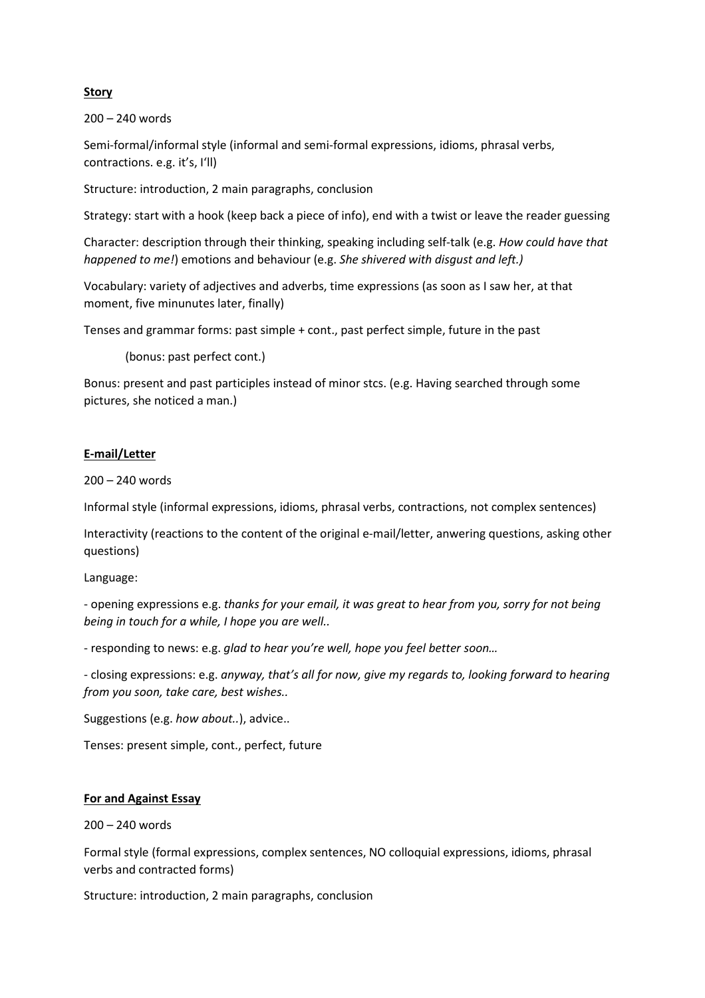# **Story**

200 – 240 words

Semi-formal/informal style (informal and semi-formal expressions, idioms, phrasal verbs, contractions. e.g. it's, I'll)

Structure: introduction, 2 main paragraphs, conclusion

Strategy: start with a hook (keep back a piece of info), end with a twist or leave the reader guessing

Character: description through their thinking, speaking including self-talk (e.g. *How could have that happened to me!*) emotions and behaviour (e.g. *She shivered with disgust and left.)*

Vocabulary: variety of adjectives and adverbs, time expressions (as soon as I saw her, at that moment, five minunutes later, finally)

Tenses and grammar forms: past simple + cont., past perfect simple, future in the past

(bonus: past perfect cont.)

Bonus: present and past participles instead of minor stcs. (e.g. Having searched through some pictures, she noticed a man.)

# **E-mail/Letter**

200 – 240 words

Informal style (informal expressions, idioms, phrasal verbs, contractions, not complex sentences)

Interactivity (reactions to the content of the original e-mail/letter, anwering questions, asking other questions)

#### Language:

- opening expressions e.g. *thanks for your email, it was great to hear from you, sorry for not being being in touch for a while, I hope you are well..*

- responding to news: e.g. *glad to hear you're well, hope you feel better soon…*

- closing expressions: e.g. *anyway, that's all for now, give my regards to, looking forward to hearing from you soon, take care, best wishes..*

Suggestions (e.g. *how about..*), advice..

Tenses: present simple, cont., perfect, future

#### **For and Against Essay**

### 200 – 240 words

Formal style (formal expressions, complex sentences, NO colloquial expressions, idioms, phrasal verbs and contracted forms)

Structure: introduction, 2 main paragraphs, conclusion